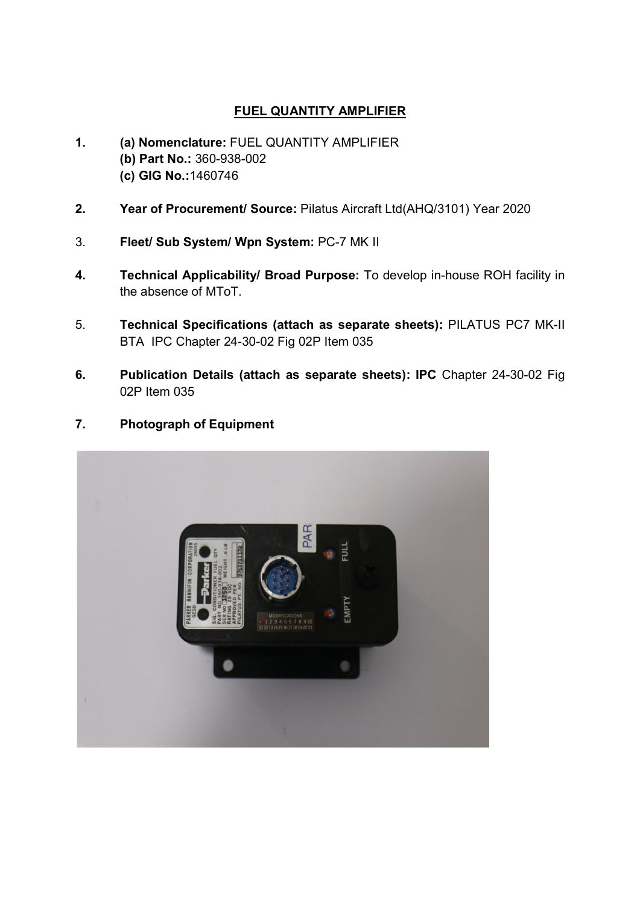## FUEL QUANTITY AMPLIFIER

- 1. (a) Nomenclature: FUEL QUANTITY AMPLIFIER (b) Part No.: 360-938-002 (c) GIG No.:1460746
- 2. Year of Procurement/ Source: Pilatus Aircraft Ltd(AHQ/3101) Year 2020
- 3. Fleet/ Sub System/ Wpn System: PC-7 MK II
- 4. Technical Applicability/ Broad Purpose: To develop in-house ROH facility in the absence of MToT.
- 5. Technical Specifications (attach as separate sheets): PILATUS PC7 MK-II BTA IPC Chapter 24-30-02 Fig 02P Item 035
- 6. Publication Details (attach as separate sheets): IPC Chapter 24-30-02 Fig 02P Item 035
- 7. Photograph of Equipment

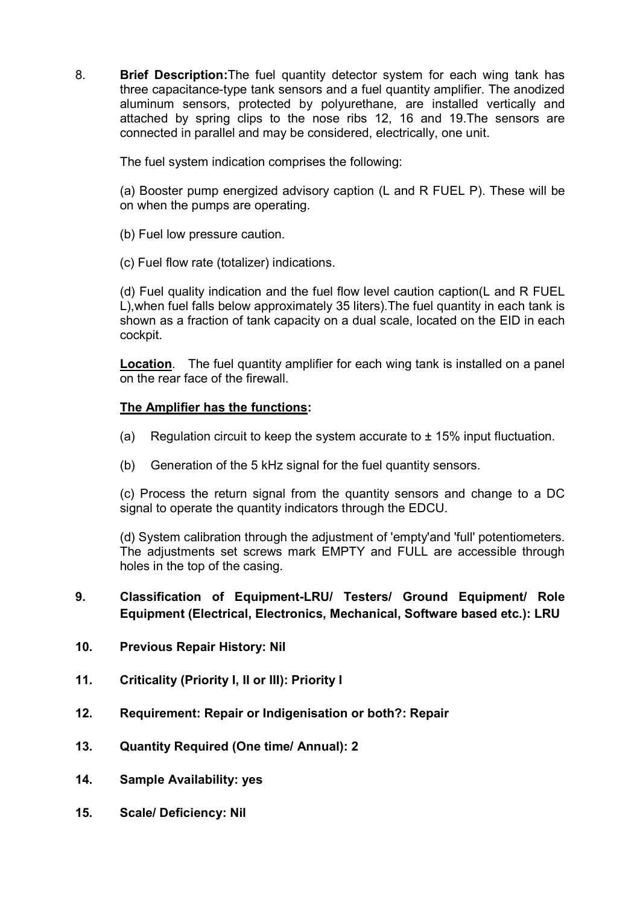8. Brief Description: The fuel quantity detector system for each wing tank has three capacitance-type tank sensors and a fuel quantity amplifier. The anodized aluminum sensors, protected by polyurethane, are installed vertically and attached by spring clips to the nose ribs 12, 16 and 19.The sensors are connected in parallel and may be considered, electrically, one unit.

The fuel system indication comprises the following:

(a) Booster pump energized advisory caption (L and R FUEL P). These will be on when the pumps are operating.

- (b) Fuel low pressure caution.
- (c) Fuel flow rate (totalizer) indications.

(d) Fuel quality indication and the fuel flow level caution caption(L and R FUEL L),when fuel falls below approximately 35 liters).The fuel quantity in each tank is shown as a fraction of tank capacity on a dual scale, located on the EID in each cockpit.

Location. The fuel quantity amplifier for each wing tank is installed on a panel on the rear face of the firewall.

## The Amplifier has the functions:

- (a) Regulation circuit to keep the system accurate to  $\pm$  15% input fluctuation.
- (b) Generation of the 5 kHz signal for the fuel quantity sensors.

(c) Process the return signal from the quantity sensors and change to a DC signal to operate the quantity indicators through the EDCU.

(d) System calibration through the adjustment of 'empty'and 'full' potentiometers. The adjustments set screws mark EMPTY and FULL are accessible through holes in the top of the casing.

## 9. Classification of Equipment-LRU/ Testers/ Ground Equipment/ Role Equipment (Electrical, Electronics, Mechanical, Software based etc.): LRU

- 10. Previous Repair History: Nil
- 11. Criticality (Priority I, II or III): Priority I
- 12. Requirement: Repair or Indigenisation or both?: Repair
- 13. Quantity Required (One time/ Annual): 2
- 14. Sample Availability: yes
- 15. Scale/ Deficiency: Nil